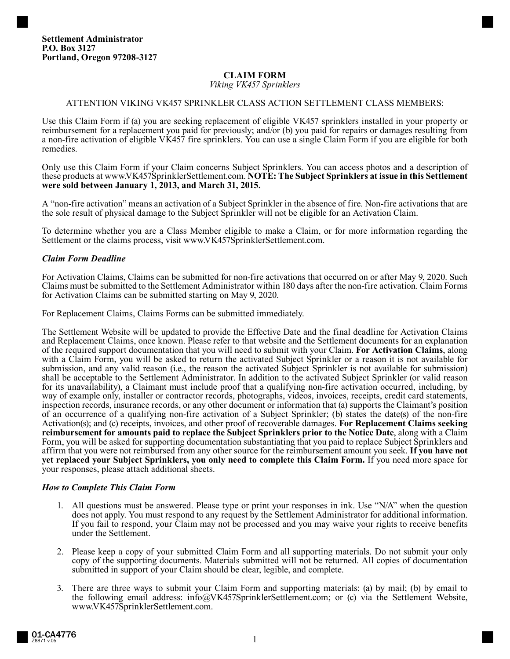### **CLAIM FORM**

*Viking VK457 Sprinklers*

### ATTENTION VIKING VK457 SPRINKLER CLASS ACTION SETTLEMENT CLASS MEMBERS:

Use this Claim Form if (a) you are seeking replacement of eligible VK457 sprinklers installed in your property or reimbursement for a replacement you paid for previously; and/or (b) you paid for repairs or damages resulting from a non-fire activation of eligible VK457 fire sprinklers. You can use a single Claim Form if you are eligible for both remedies.

Only use this Claim Form if your Claim concerns Subject Sprinklers. You can access photos and a description of these products at www.VK457SprinklerSettlement.com. **NOTE: The Subject Sprinklers at issue in this Settlement were sold between January 1, 2013, and March 31, 2015.** 

A "non-fire activation" means an activation of a Subject Sprinkler in the absence of fire. Non-fire activations that are the sole result of physical damage to the Subject Sprinkler will not be eligible for an Activation Claim.

To determine whether you are a Class Member eligible to make a Claim, or for more information regarding the Settlement or the claims process, visit www.VK457SprinklerSettlement.com.

### *Claim Form Deadline*

For Activation Claims, Claims can be submitted for non-fire activations that occurred on or after May 9, 2020. Such Claims must be submitted to the Settlement Administrator within 180 days after the non-fire activation. Claim Forms for Activation Claims can be submitted starting on May 9, 2020.

For Replacement Claims, Claims Forms can be submitted immediately.

The Settlement Website will be updated to provide the Effective Date and the final deadline for Activation Claims and Replacement Claims, once known. Please refer to that website and the Settlement documents for an explanation of the required support documentation that you will need to submit with your Claim. **For Activation Claims**, along with a Claim Form, you will be asked to return the activated Subject Sprinkler or a reason it is not available for submission, and any valid reason (i.e., the reason the activated Subject Sprinkler is not available for submission) shall be acceptable to the Settlement Administrator. In addition to the activated Subject Sprinkler (or valid reason for its unavailability), a Claimant must include proof that a qualifying non-fire activation occurred, including, by way of example only, installer or contractor records, photographs, videos, invoices, receipts, credit card statements, inspection records, insurance records, or any other document or information that (a) supports the Claimant's position of an occurrence of a qualifying non-fire activation of a Subject Sprinkler; (b) states the date(s) of the non-fire Activation(s); and (c) receipts, invoices, and other proof of recoverable damages. **For Replacement Claims seeking reimbursement for amounts paid to replace the Subject Sprinklers prior to the Notice Date**, along with a Claim Form, you will be asked for supporting documentation substantiating that you paid to replace Subject Sprinklers and affirm that you were not reimbursed from any other source for the reimbursement amount you seek. **If you have not yet replaced your Subject Sprinklers, you only need to complete this Claim Form.** If you need more space for your responses, please attach additional sheets.

#### *How to Complete This Claim Form*

- 1. All questions must be answered. Please type or print your responses in ink. Use "N/A" when the question does not apply. You must respond to any request by the Settlement Administrator for additional information. If you fail to respond, your Claim may not be processed and you may waive your rights to receive benefits under the Settlement.
- 2. Please keep a copy of your submitted Claim Form and all supporting materials. Do not submit your only copy of the supporting documents. Materials submitted will not be returned. All copies of documentation submitted in support of your Claim should be clear, legible, and complete.
- 3. There are three ways to submit your Claim Form and supporting materials: (a) by mail; (b) by email to the following email address: info@VK457SprinklerSettlement.com; or (c) via the Settlement Website, www.VK457SprinklerSettlement.com.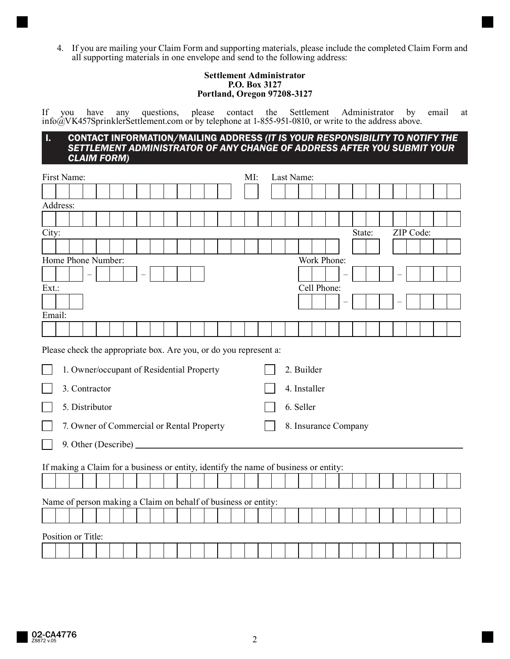4. If you are mailing your Claim Form and supporting materials, please include the completed Claim Form and all supporting materials in one envelope and send to the following address:

#### **Settlement Administrator P.O. Box 3127 Portland, Oregon 97208-3127**

If you have any questions, please contact the Settlement Administrator by email at info@VK457SprinklerSettlement.com or by telephone at 1-855-951-0810, or write to the address above.

#### I. CONTACT INFORMATION/MAILING ADDRESS *(IT IS YOUR RESPONSIBILITY TO NOTIFY THE SETTLEMENT ADMINISTRATOR OF ANY CHANGE OF ADDRESS AFTER YOU SUBMIT YOUR CLAIM FORM)*

| First Name:                                                                                                                                                                                    |  |  |  |  |  |  |  |  |  |  |  | MI:                     |                                      | Last Name:                                                                           |  |  |             |  |        |  |           |  |  |
|------------------------------------------------------------------------------------------------------------------------------------------------------------------------------------------------|--|--|--|--|--|--|--|--|--|--|--|-------------------------|--------------------------------------|--------------------------------------------------------------------------------------|--|--|-------------|--|--------|--|-----------|--|--|
|                                                                                                                                                                                                |  |  |  |  |  |  |  |  |  |  |  |                         |                                      |                                                                                      |  |  |             |  |        |  |           |  |  |
| Address:                                                                                                                                                                                       |  |  |  |  |  |  |  |  |  |  |  |                         |                                      |                                                                                      |  |  |             |  |        |  |           |  |  |
|                                                                                                                                                                                                |  |  |  |  |  |  |  |  |  |  |  |                         |                                      |                                                                                      |  |  |             |  |        |  |           |  |  |
| City:                                                                                                                                                                                          |  |  |  |  |  |  |  |  |  |  |  |                         |                                      |                                                                                      |  |  |             |  | State: |  | ZIP Code: |  |  |
|                                                                                                                                                                                                |  |  |  |  |  |  |  |  |  |  |  |                         |                                      |                                                                                      |  |  |             |  |        |  |           |  |  |
| Home Phone Number:                                                                                                                                                                             |  |  |  |  |  |  |  |  |  |  |  | Work Phone:             |                                      |                                                                                      |  |  |             |  |        |  |           |  |  |
|                                                                                                                                                                                                |  |  |  |  |  |  |  |  |  |  |  |                         |                                      |                                                                                      |  |  |             |  |        |  |           |  |  |
| Ext.:                                                                                                                                                                                          |  |  |  |  |  |  |  |  |  |  |  |                         |                                      |                                                                                      |  |  | Cell Phone: |  |        |  |           |  |  |
|                                                                                                                                                                                                |  |  |  |  |  |  |  |  |  |  |  |                         |                                      |                                                                                      |  |  |             |  |        |  |           |  |  |
| Email:                                                                                                                                                                                         |  |  |  |  |  |  |  |  |  |  |  |                         |                                      |                                                                                      |  |  |             |  |        |  |           |  |  |
|                                                                                                                                                                                                |  |  |  |  |  |  |  |  |  |  |  |                         |                                      |                                                                                      |  |  |             |  |        |  |           |  |  |
| Please check the appropriate box. Are you, or do you represent a:<br>1. Owner/occupant of Residential Property<br>3. Contractor<br>5. Distributor<br>7. Owner of Commercial or Rental Property |  |  |  |  |  |  |  |  |  |  |  | 2. Builder<br>6. Seller | 4. Installer<br>8. Insurance Company |                                                                                      |  |  |             |  |        |  |           |  |  |
|                                                                                                                                                                                                |  |  |  |  |  |  |  |  |  |  |  |                         |                                      | If making a Claim for a business or entity, identify the name of business or entity: |  |  |             |  |        |  |           |  |  |
|                                                                                                                                                                                                |  |  |  |  |  |  |  |  |  |  |  |                         |                                      |                                                                                      |  |  |             |  |        |  |           |  |  |
|                                                                                                                                                                                                |  |  |  |  |  |  |  |  |  |  |  |                         |                                      | Name of person making a Claim on behalf of business or entity:                       |  |  |             |  |        |  |           |  |  |
|                                                                                                                                                                                                |  |  |  |  |  |  |  |  |  |  |  |                         |                                      |                                                                                      |  |  |             |  |        |  |           |  |  |
| Position or Title:                                                                                                                                                                             |  |  |  |  |  |  |  |  |  |  |  |                         |                                      |                                                                                      |  |  |             |  |        |  |           |  |  |
|                                                                                                                                                                                                |  |  |  |  |  |  |  |  |  |  |  |                         |                                      |                                                                                      |  |  |             |  |        |  |           |  |  |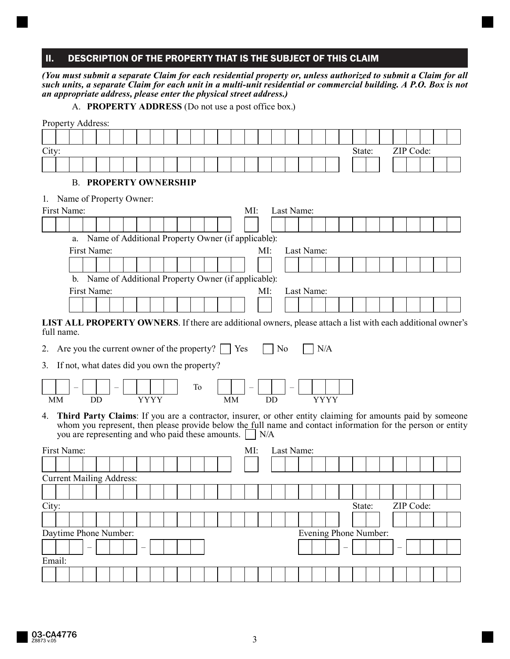## II. DESCRIPTION OF THE PROPERTY THAT IS THE SUBJECT OF THIS CLAIM

*(You must submit a separate Claim for each residential property or, unless authorized to submit a Claim for all such units, a separate Claim for each unit in a multi-unit residential or commercial building. A P.O. Box is not an appropriate address, please enter the physical street address.)*

A. **PROPERTY ADDRESS** (Do not use a post office box.)

|       | Property Address:                            |    |                                                  |  |  |             |  |    |  |           |     |                                                    |           |                       |     |             |        |  |           |           |                                                                                                                     |
|-------|----------------------------------------------|----|--------------------------------------------------|--|--|-------------|--|----|--|-----------|-----|----------------------------------------------------|-----------|-----------------------|-----|-------------|--------|--|-----------|-----------|---------------------------------------------------------------------------------------------------------------------|
|       |                                              |    |                                                  |  |  |             |  |    |  |           |     |                                                    |           |                       |     |             |        |  |           |           |                                                                                                                     |
| City: |                                              |    |                                                  |  |  |             |  |    |  |           |     |                                                    |           |                       |     |             | State: |  | ZIP Code: |           |                                                                                                                     |
|       |                                              |    |                                                  |  |  |             |  |    |  |           |     |                                                    |           |                       |     |             |        |  |           |           |                                                                                                                     |
|       |                                              |    |                                                  |  |  |             |  |    |  |           |     |                                                    |           |                       |     |             |        |  |           |           |                                                                                                                     |
|       |                                              | B. | <b>PROPERTY OWNERSHIP</b>                        |  |  |             |  |    |  |           |     |                                                    |           |                       |     |             |        |  |           |           |                                                                                                                     |
|       | 1. Name of Property Owner:                   |    |                                                  |  |  |             |  |    |  |           |     |                                                    |           |                       |     |             |        |  |           |           |                                                                                                                     |
|       | First Name:                                  |    |                                                  |  |  |             |  |    |  |           | MI: |                                                    |           | Last Name:            |     |             |        |  |           |           |                                                                                                                     |
|       |                                              |    |                                                  |  |  |             |  |    |  |           |     |                                                    |           |                       |     |             |        |  |           |           |                                                                                                                     |
|       |                                              | a. |                                                  |  |  |             |  |    |  |           |     | Name of Additional Property Owner (if applicable): |           |                       |     |             |        |  |           |           |                                                                                                                     |
|       |                                              |    | First Name:                                      |  |  |             |  |    |  |           |     | MI:                                                |           | Last Name:            |     |             |        |  |           |           |                                                                                                                     |
|       |                                              |    |                                                  |  |  |             |  |    |  |           |     |                                                    |           |                       |     |             |        |  |           |           |                                                                                                                     |
|       |                                              | b. |                                                  |  |  |             |  |    |  |           |     | Name of Additional Property Owner (if applicable): |           |                       |     |             |        |  |           |           |                                                                                                                     |
|       |                                              |    | First Name:                                      |  |  |             |  |    |  |           |     | MI:                                                |           | Last Name:            |     |             |        |  |           |           |                                                                                                                     |
|       |                                              |    |                                                  |  |  |             |  |    |  |           |     |                                                    |           |                       |     |             |        |  |           |           |                                                                                                                     |
|       | full name.                                   |    |                                                  |  |  |             |  |    |  |           |     |                                                    |           |                       |     |             |        |  |           |           | <b>LIST ALL PROPERTY OWNERS</b> . If there are additional owners, please attach a list with each additional owner's |
| 2.    | Are you the current owner of the property?   |    |                                                  |  |  |             |  |    |  | Yes       |     |                                                    | No        |                       | N/A |             |        |  |           |           |                                                                                                                     |
|       |                                              |    |                                                  |  |  |             |  |    |  |           |     |                                                    |           |                       |     |             |        |  |           |           |                                                                                                                     |
| 3.    | If not, what dates did you own the property? |    |                                                  |  |  |             |  |    |  |           |     |                                                    |           |                       |     |             |        |  |           |           |                                                                                                                     |
|       |                                              |    |                                                  |  |  |             |  | To |  |           |     |                                                    |           |                       |     |             |        |  |           |           |                                                                                                                     |
|       | <b>MM</b>                                    |    | <b>DD</b>                                        |  |  | <b>YYYY</b> |  |    |  | <b>MM</b> |     |                                                    | <b>DD</b> |                       |     | <b>YYYY</b> |        |  |           |           |                                                                                                                     |
|       |                                              |    |                                                  |  |  |             |  |    |  |           |     |                                                    |           |                       |     |             |        |  |           |           | 4. Third Party Claims: If you are a contractor, insurer, or other entity claiming for amounts paid by someone       |
|       |                                              |    |                                                  |  |  |             |  |    |  |           |     |                                                    |           |                       |     |             |        |  |           |           | whom you represent, then please provide below the full name and contact information for the person or entity        |
|       |                                              |    | you are representing and who paid these amounts. |  |  |             |  |    |  |           |     | N/A                                                |           |                       |     |             |        |  |           |           |                                                                                                                     |
|       | First Name:                                  |    |                                                  |  |  |             |  |    |  |           | MI: |                                                    |           | Last Name:            |     |             |        |  |           |           |                                                                                                                     |
|       |                                              |    |                                                  |  |  |             |  |    |  |           |     |                                                    |           |                       |     |             |        |  |           |           |                                                                                                                     |
|       | <b>Current Mailing Address:</b>              |    |                                                  |  |  |             |  |    |  |           |     |                                                    |           |                       |     |             |        |  |           |           |                                                                                                                     |
|       |                                              |    |                                                  |  |  |             |  |    |  |           |     |                                                    |           |                       |     |             |        |  |           |           |                                                                                                                     |
| City: |                                              |    |                                                  |  |  |             |  |    |  |           |     |                                                    |           |                       |     |             | State: |  |           | ZIP Code: |                                                                                                                     |
|       |                                              |    |                                                  |  |  |             |  |    |  |           |     |                                                    |           |                       |     |             |        |  |           |           |                                                                                                                     |
|       | Daytime Phone Number:                        |    |                                                  |  |  |             |  |    |  |           |     |                                                    |           | Evening Phone Number: |     |             |        |  |           |           |                                                                                                                     |
|       |                                              |    |                                                  |  |  |             |  |    |  |           |     |                                                    |           |                       |     |             |        |  |           |           |                                                                                                                     |
|       | Email:                                       |    |                                                  |  |  |             |  |    |  |           |     |                                                    |           |                       |     |             |        |  |           |           |                                                                                                                     |
|       |                                              |    |                                                  |  |  |             |  |    |  |           |     |                                                    |           |                       |     |             |        |  |           |           |                                                                                                                     |
|       |                                              |    |                                                  |  |  |             |  |    |  |           |     |                                                    |           |                       |     |             |        |  |           |           |                                                                                                                     |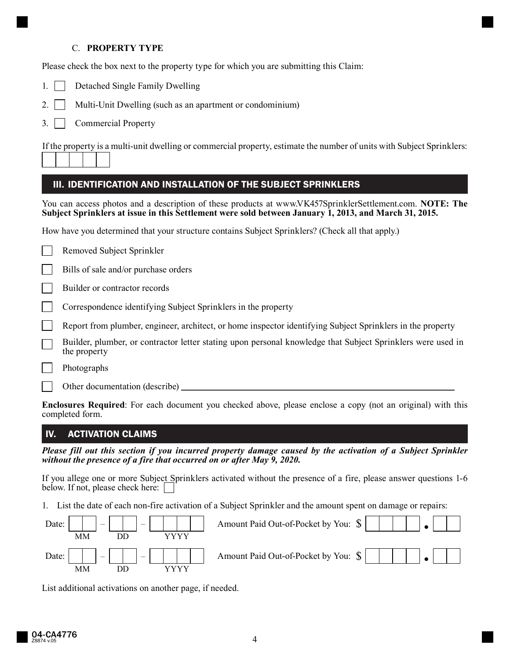### C. **PROPERTY TYPE**

Please check the box next to the property type for which you are submitting this Claim:

- 1. Detached Single Family Dwelling
- 2. Multi-Unit Dwelling (such as an apartment or condominium)
- 3. Commercial Property

If the property is a multi-unit dwelling or commercial property, estimate the number of units with Subject Sprinklers:

| ш | . . |  |
|---|-----|--|
|   |     |  |
|   |     |  |
|   |     |  |
|   |     |  |
|   |     |  |
|   |     |  |

## III. IDENTIFICATION AND INSTALLATION OF THE SUBJECT SPRINKLERS

You can access photos and a description of these products at www.VK457SprinklerSettlement.com. **NOTE: The Subject Sprinklers at issue in this Settlement were sold between January 1, 2013, and March 31, 2015.**

How have you determined that your structure contains Subject Sprinklers? (Check all that apply.)

| Removed Subject Sprinkler |  |  |
|---------------------------|--|--|
|---------------------------|--|--|

Bills of sale and/or purchase orders

Builder or contractor records

Correspondence identifying Subject Sprinklers in the property

Report from plumber, engineer, architect, or home inspector identifying Subject Sprinklers in the property

Builder, plumber, or contractor letter stating upon personal knowledge that Subject Sprinklers were used in the property

Photographs

Other documentation (describe)

**Enclosures Required**: For each document you checked above, please enclose a copy (not an original) with this completed form.

## IV. ACTIVATION CLAIMS

Please fill out this section if you incurred property damage caused by the activation of a Subject Sprinkler *without the presence of a fire that occurred on or after May 9, 2020.* 

If you allege one or more Subject Sprinklers activated without the presence of a fire, please answer questions 1-6 below. If not, please check here:

1. List the date of each non-fire activation of a Subject Sprinkler and the amount spent on damage or repairs:



List additional activations on another page, if needed.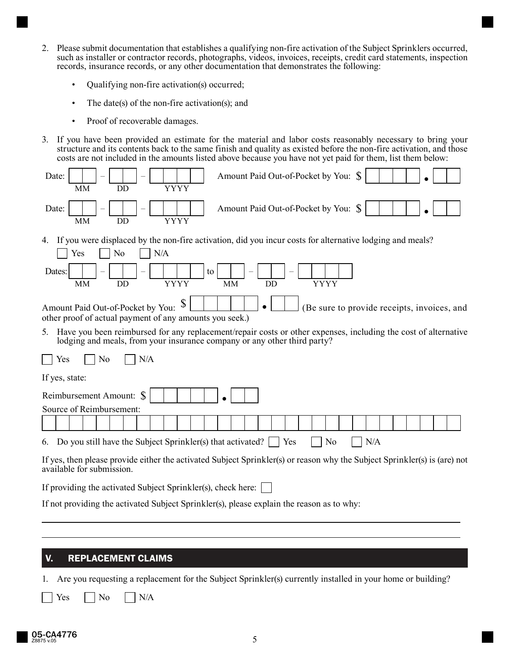- 2. Please submit documentation that establishes a qualifying non-fire activation of the Subject Sprinklers occurred, such as installer or contractor records, photographs, videos, invoices, receipts, credit card statements, inspection records, insurance records, or any other documentation that demonstrates the following:
	- Qualifying non-fire activation(s) occurred;
	- The date(s) of the non-fire activation(s); and
	- Proof of recoverable damages.
- 3. If you have been provided an estimate for the material and labor costs reasonably necessary to bring your structure and its contents back to the same finish and quality as existed before the non-fire activation, and those costs are not included in the amounts listed above because you have not yet paid for them, list them below:



## V. REPLACEMENT CLAIMS

1. Are you requesting a replacement for the Subject Sprinkler(s) currently installed in your home or building?

 $Yes$   $|$   $|$   $No$   $|$   $|$   $N/A$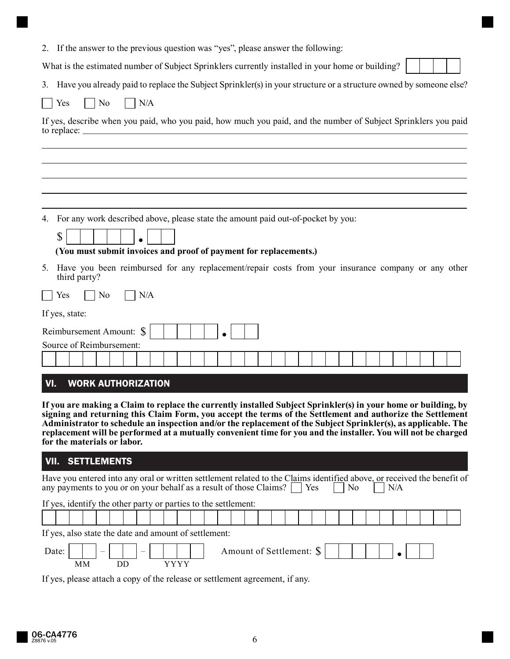| 2. If the answer to the previous question was "yes", please answer the following:                                                                                                                                                                                                                                                              |  |  |  |  |  |  |  |  |  |
|------------------------------------------------------------------------------------------------------------------------------------------------------------------------------------------------------------------------------------------------------------------------------------------------------------------------------------------------|--|--|--|--|--|--|--|--|--|
| What is the estimated number of Subject Sprinklers currently installed in your home or building?                                                                                                                                                                                                                                               |  |  |  |  |  |  |  |  |  |
| 3. Have you already paid to replace the Subject Sprinkler(s) in your structure or a structure owned by someone else?                                                                                                                                                                                                                           |  |  |  |  |  |  |  |  |  |
| No<br>N/A<br>Yes                                                                                                                                                                                                                                                                                                                               |  |  |  |  |  |  |  |  |  |
| If yes, describe when you paid, who you paid, how much you paid, and the number of Subject Sprinklers you paid                                                                                                                                                                                                                                 |  |  |  |  |  |  |  |  |  |
|                                                                                                                                                                                                                                                                                                                                                |  |  |  |  |  |  |  |  |  |
| For any work described above, please state the amount paid out-of-pocket by you:<br>4.<br>\$<br>(You must submit invoices and proof of payment for replacements.)<br>Have you been reimbursed for any replacement/repair costs from your insurance company or any other<br>5.                                                                  |  |  |  |  |  |  |  |  |  |
| third party?                                                                                                                                                                                                                                                                                                                                   |  |  |  |  |  |  |  |  |  |
| No<br>N/A<br>Yes                                                                                                                                                                                                                                                                                                                               |  |  |  |  |  |  |  |  |  |
| If yes, state:<br>Reimbursement Amount: \$<br>Source of Reimbursement:                                                                                                                                                                                                                                                                         |  |  |  |  |  |  |  |  |  |
|                                                                                                                                                                                                                                                                                                                                                |  |  |  |  |  |  |  |  |  |
| VI.<br><b>WORK AUTHORIZATION</b>                                                                                                                                                                                                                                                                                                               |  |  |  |  |  |  |  |  |  |
| If you are making a Claim to replace the currently installed Subject Sprinkler(s) in your home or building, by<br>signing and returning this Claim Form, you accept the terms of the Settlement and authorize the Settlement<br>Administrator to schedule an inspection and/or the replacement of the Subject Sprinkler(s), as applicable. The |  |  |  |  |  |  |  |  |  |

# VII. SETTLEMENTS

**for the materials or labor.** 

| Have you entered into any oral or written settlement related to the Claims identified above, or received the benefit of<br>any payments to you or on your behalf as a result of those Claims? $\Box$ Yes<br>N <sub>0</sub> |
|----------------------------------------------------------------------------------------------------------------------------------------------------------------------------------------------------------------------------|
| If yes, identify the other party or parties to the settlement:                                                                                                                                                             |
|                                                                                                                                                                                                                            |
| If yes, also state the date and amount of settlement:                                                                                                                                                                      |
| Amount of Settlement: \$<br>Date:<br>$\overline{\phantom{0}}$<br>$\overline{\phantom{a}}$                                                                                                                                  |
| MМ                                                                                                                                                                                                                         |

**replacement will be performed at a mutually convenient time for you and the installer. You will not be charged** 

If yes, please attach a copy of the release or settlement agreement, if any.